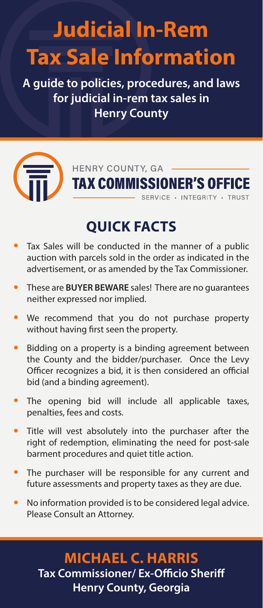# **Judicial In-Rem Tax Sale Information**

**A guide to policies, procedures, and laws for judicial in-rem tax sales in Henry County**



HENRY COUNTY, GA **TAX COMMISSIONER'S OFFICE** SERVICE . INTEGRITY . TRUST

# **QUICK FACTS**

- Tax Sales will be conducted in the manner of a public auction with parcels sold in the order as indicated in the advertisement, or as amended by the Tax Commissioner.
- These are **BUYER BEWARE** sales! There are no guarantees neither expressed nor implied.
- We recommend that you do not purchase property without having first seen the property.
- Bidding on a property is a binding agreement between the County and the bidder/purchaser. Once the Levy Officer recognizes a bid, it is then considered an official bid (and a binding agreement).
- The opening bid will include all applicable taxes, penalties, fees and costs.
- Title will vest absolutely into the purchaser after the right of redemption, eliminating the need for post-sale barment procedures and quiet title action.
- The purchaser will be responsible for any current and future assessments and property taxes as they are due.
- No information provided is to be considered legal advice. Please Consult an Attorney.

## **MICHAEL C. HARRIS Tax Commissioner/ Ex-Officio Sheriff Henry County, Georgia**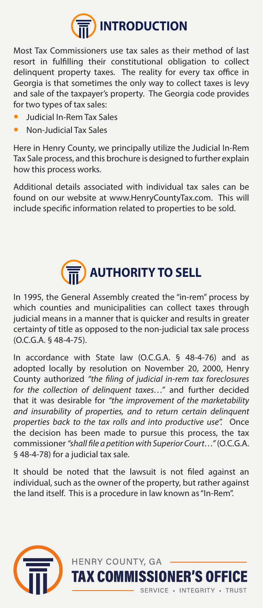

Most Tax Commissioners use tax sales as their method of last resort in fulfilling their constitutional obligation to collect delinquent property taxes. The reality for every tax office in Georgia is that sometimes the only way to collect taxes is levy and sale of the taxpayer's property. The Georgia code provides for two types of tax sales:

- Judicial In-Rem Tax Sales
- Non-Judicial Tax Sales

Here in Henry County, we principally utilize the Judicial In-Rem Tax Sale process, and this brochure is designed to further explain how this process works.

Additional details associated with individual tax sales can be found on our website at www.HenryCountyTax.com. This will include specific information related to properties to be sold.



In 1995, the General Assembly created the "in-rem" process by which counties and municipalities can collect taxes through judicial means in a manner that is quicker and results in greater certainty of title as opposed to the non-judicial tax sale process (O.C.G.A. § 48-4-75).

In accordance with State law (O.C.G.A. § 48-4-76) and as adopted locally by resolution on November 20, 2000, Henry County authorized *"the filing of judicial in-rem tax foreclosures for the collection of delinquent taxes…"* and further decided that it was desirable for *"the improvement of the marketability and insurability of properties, and to return certain delinquent properties back to the tax rolls and into productive use".* Once the decision has been made to pursue this process, the tax commissioner *"shall file a petition with Superior Court…"* (O.C.G.A. § 48-4-78) for a judicial tax sale.

It should be noted that the lawsuit is not filed against an individual, such as the owner of the property, but rather against the land itself. This is a procedure in law known as "In-Rem".

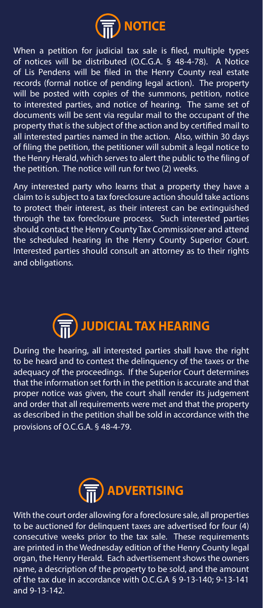

When a petition for judicial tax sale is filed, multiple types of notices will be distributed (O.C.G.A. § 48-4-78). A Notice of Lis Pendens will be filed in the Henry County real estate records (formal notice of pending legal action). The property will be posted with copies of the summons, petition, notice to interested parties, and notice of hearing. The same set of documents will be sent via regular mail to the occupant of the property that is the subject of the action and by certified mail to all interested parties named in the action. Also, within 30 days of filing the petition, the petitioner will submit a legal notice to the Henry Herald, which serves to alert the public to the filing of the petition. The notice will run for two (2) weeks.

Any interested party who learns that a property they have a claim to is subject to a tax foreclosure action should take actions to protect their interest, as their interest can be extinguished through the tax foreclosure process. Such interested parties should contact the Henry County Tax Commissioner and attend the scheduled hearing in the Henry County Superior Court. Interested parties should consult an attorney as to their rights and obligations.



During the hearing, all interested parties shall have the right to be heard and to contest the delinquency of the taxes or the adequacy of the proceedings. If the Superior Court determines that the information set forth in the petition is accurate and that proper notice was given, the court shall render its judgement and order that all requirements were met and that the property as described in the petition shall be sold in accordance with the provisions of O.C.G.A. § 48-4-79.



With the court order allowing for a foreclosure sale, all properties to be auctioned for delinquent taxes are advertised for four (4) consecutive weeks prior to the tax sale. These requirements are printed in the Wednesday edition of the Henry County legal organ, the Henry Herald. Each advertisement shows the owners name, a description of the property to be sold, and the amount of the tax due in accordance with O.C.G.A § 9-13-140; 9-13-141 and 9-13-142.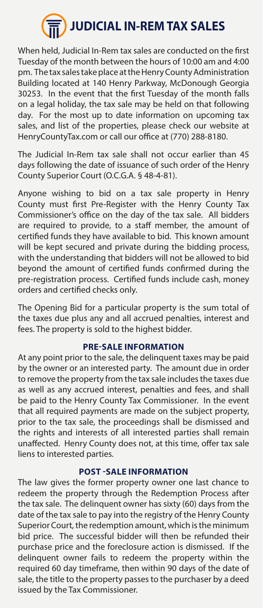

When held, Judicial In-Rem tax sales are conducted on the first Tuesday of the month between the hours of 10:00 am and 4:00 pm. The tax sales take place at the Henry County Administration Building located at 140 Henry Parkway, McDonough Georgia 30253. In the event that the first Tuesday of the month falls on a legal holiday, the tax sale may be held on that following day. For the most up to date information on upcoming tax sales, and list of the properties, please check our website at HenryCountyTax.com or call our office at (770) 288-8180.

The Judicial In-Rem tax sale shall not occur earlier than 45 days following the date of issuance of such order of the Henry County Superior Court (O.C.G.A. § 48-4-81).

Anyone wishing to bid on a tax sale property in Henry County must first Pre-Register with the Henry County Tax Commissioner's office on the day of the tax sale. All bidders are required to provide, to a staff member, the amount of certified funds they have available to bid. This known amount will be kept secured and private during the bidding process, with the understanding that bidders will not be allowed to bid beyond the amount of certified funds confirmed during the pre-registration process. Certified funds include cash, money orders and certified checks only.

The Opening Bid for a particular property is the sum total of the taxes due plus any and all accrued penalties, interest and fees. The property is sold to the highest bidder.

#### **PRE-SALE INFORMATION**

At any point prior to the sale, the delinquent taxes may be paid by the owner or an interested party. The amount due in order to remove the property from the tax sale includes the taxes due as well as any accrued interest, penalties and fees, and shall be paid to the Henry County Tax Commissioner. In the event that all required payments are made on the subject property, prior to the tax sale, the proceedings shall be dismissed and the rights and interests of all interested parties shall remain unaffected. Henry County does not, at this time, offer tax sale liens to interested parties.

#### **POST -SALE INFORMATION**

The law gives the former property owner one last chance to redeem the property through the Redemption Process after the tax sale. The delinquent owner has sixty (60) days from the date of the tax sale to pay into the registry of the Henry County Superior Court, the redemption amount, which is the minimum bid price. The successful bidder will then be refunded their purchase price and the foreclosure action is dismissed. If the delinquent owner fails to redeem the property within the required 60 day timeframe, then within 90 days of the date of sale, the title to the property passes to the purchaser by a deed issued by the Tax Commissioner.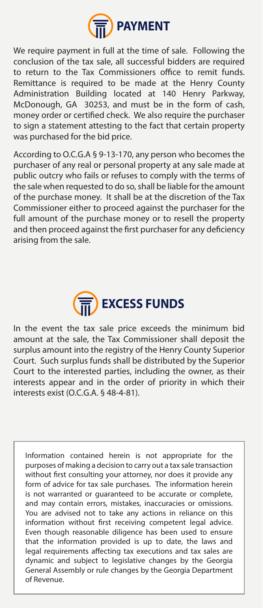

We require payment in full at the time of sale. Following the conclusion of the tax sale, all successful bidders are required to return to the Tax Commissioners office to remit funds. Remittance is required to be made at the Henry County Administration Building located at 140 Henry Parkway, McDonough, GA 30253, and must be in the form of cash, money order or certified check. We also require the purchaser to sign a statement attesting to the fact that certain property was purchased for the bid price.

According to O.C.G.A § 9-13-170, any person who becomes the purchaser of any real or personal property at any sale made at public outcry who fails or refuses to comply with the terms of the sale when requested to do so, shall be liable for the amount of the purchase money. It shall be at the discretion of the Tax Commissioner either to proceed against the purchaser for the full amount of the purchase money or to resell the property and then proceed against the first purchaser for any deficiency arising from the sale.



In the event the tax sale price exceeds the minimum bid amount at the sale, the Tax Commissioner shall deposit the surplus amount into the registry of the Henry County Superior Court. Such surplus funds shall be distributed by the Superior Court to the interested parties, including the owner, as their interests appear and in the order of priority in which their interests exist (O.C.G.A. § 48-4-81).

Information contained herein is not appropriate for the purposes of making a decision to carry out a tax sale transaction without first consulting your attorney, nor does it provide any form of advice for tax sale purchases. The information herein is not warranted or guaranteed to be accurate or complete, and may contain errors, mistakes, inaccuracies or omissions. You are advised not to take any actions in reliance on this information without first receiving competent legal advice. Even though reasonable diligence has been used to ensure that the information provided is up to date, the laws and legal requirements affecting tax executions and tax sales are dynamic and subject to legislative changes by the Georgia General Assembly or rule changes by the Georgia Department of Revenue.